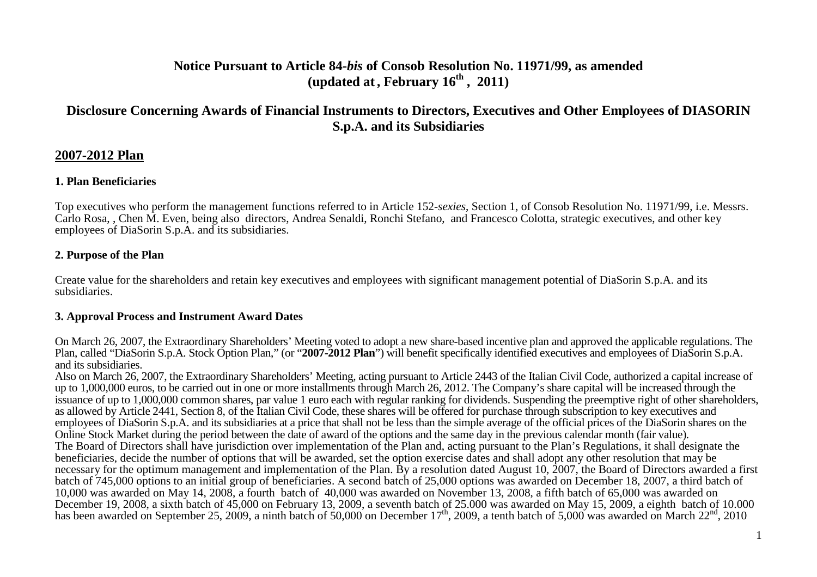# **Notice Pursuant to Article 84-***bis* **of Consob Resolution No. 11971/99, as amended (updated at, February 16th , 2011)**

# **Disclosure Concerning Awards of Financial Instruments to Directors, Executives and Other Employees of DIASORINS.p.A. and its Subsidiaries**

## **2007-2012 Plan**

## **1. Plan Beneficiaries**

Top executives who perform the management functions referred to in Article 152-*sexies*, Section 1, of Consob Resolution No. 11971/99, i.e. Messrs. Carlo Rosa, , Chen M. Even, being also directors, Andrea Senaldi, Ronchi Stefano, and Francesco Colotta, strategic executives, and other key employees of DiaSorin S.p.A. and its subsidiaries.

## **2. Purpose of the Plan**

Create value for the shareholders and retain key executives and employees with significant management potential of DiaSorin S.p.A. and its subsidiaries.

## **3. Approval Process and Instrument Award Dates**

On March 26, 2007, the Extraordinary Shareholders' Meeting voted to adopt a new share-based incentive plan and approved the applicable regulations. The Plan, called "DiaSorin S.p.A. Stock Option Plan," (or "**2007-2012 Plan**") will benefit specifically identified executives and employees of DiaSorin S.p.A. and its subsidiaries.

 Also on March 26, 2007, the Extraordinary Shareholders' Meeting, acting pursuant to Article 2443 of the Italian Civil Code, authorized a capital increase of up to 1,000,000 euros, to be carried out in one or more installments through March 26, 2012. The Company's share capital will be increased through the issuance of up to 1,000,000 common shares, par value 1 euro each with regular ranking for dividends. Suspending the preemptive right of other shareholders, as allowed by Article 2441, Section 8, of the Italian Civil Code, these shares will be offered for purchase through subscription to key executives and employees of DiaSorin S.p.A. and its subsidiaries at a price that shall not be less than the simple average of the official prices of the DiaSorin shares on the Online Stock Market during the period between the date of award of the options and the same day in the previous calendar month (fair value). The Board of Directors shall have jurisdiction over implementation of the Plan and, acting pursuant to the Plan's Regulations, it shall designate the beneficiaries, decide the number of options that will be awarded, set the option exercise dates and shall adopt any other resolution that may be necessary for the optimum management and implementation of the Plan. By a resolution dated August 10, 2007, the Board of Directors awarded a first batch of 745,000 options to an initial group of beneficiaries. A second batch of 25,000 options was awarded on December 18, 2007, a third batch of 10,000 was awarded on May 14, 2008, a fourth batch of 40,000 was awarded on November 13, 2008, a fifth batch of 65,000 was awarded on December 19, 2008, a sixth batch of 45,000 on February 13, 2009, a seventh batch of 25.000 was awarded on May 15, 2009, a eighth batch of 10.000 has been awarded on September 25, 2009, a ninth batch of 50,000 on December 17<sup>th</sup>, 2009, a tenth batch of 5,000 was awarded on March 22<sup>nd</sup>, 2010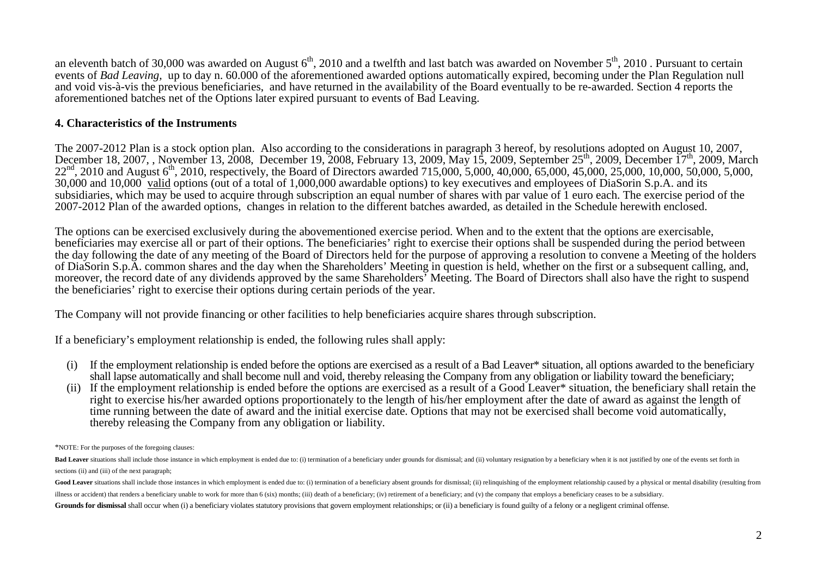an eleventh batch of 30,000 was awarded on August  $6<sup>th</sup>$ , 2010 and a twelfth and last batch was awarded on November  $5<sup>th</sup>$ , 2010 . Pursuant to certain events of *Bad Leaving,* up to day n. 60.000 of the aforementioned awarded options automatically expired, becoming under the Plan Regulation null and void vis-à-vis the previous beneficiaries, and have returned in the availability of the Board eventually to be re-awarded. Section 4 reports the aforementioned batches net of the Options later expired pursuant to events of Bad Leaving.

#### **4. Characteristics of the Instruments**

The 2007-2012 Plan is a stock option plan. Also according to the considerations in paragraph 3 hereof, by resolutions adopted on August 10, 2007, December 18, 2007, , November 13, 2008, December 19, 2008, February 13, 2009, May 15, 2009, September 25<sup>th</sup>, 2009, December 17<sup>th</sup>, 2009, March  $22<sup>nd</sup>$ , 2010 and August 6<sup>th</sup>, 2010, respectively, the Board of Directors awarded 715,000, 5,000, 40,000, 65,000, 45,000, 25,000, 10,000, 50,000, 5,000, 30,000 and 10,000 valid options (out of a total of 1,000,000 awardable options) to key executives and employees of DiaSorin S.p.A. and its subsidiaries, which may be used to acquire through subscription an equal number of shares with par value of 1 euro each. The exercise period of the 2007-2012 Plan of the awarded options, changes in relation to the different batches awarded, as detailed in the Schedule herewith enclosed.

The options can be exercised exclusively during the abovementioned exercise period. When and to the extent that the options are exercisable, beneficiaries may exercise all or part of their options. The beneficiaries' right to exercise their options shall be suspended during the period between the day following the date of any meeting of the Board of Directors held for the purpose of approving a resolution to convene a Meeting of the holders of DiaSorin S.p.A. common shares and the day when the Shareholders' Meeting in question is held, whether on the first or a subsequent calling, and, moreover, the record date of any dividends approved by the same Shareholders' Meeting. The Board of Directors shall also have the right to suspend the beneficiaries' right to exercise their options during certain periods of the year.

The Company will not provide financing or other facilities to help beneficiaries acquire shares through subscription.

If a beneficiary's employment relationship is ended, the following rules shall apply:

- (i) If the employment relationship is ended before the options are exercised as a result of a Bad Leaver\* situation, all options awarded to the beneficiary shall lapse automatically and shall become null and void, thereby releasing the Company from any obligation or liability toward the beneficiary;
- (ii) If the employment relationship is ended before the options are exercised as a result of a Good Leaver\* situation, the beneficiary shall retain the right to exercise his/her awarded options proportionately to the length of his/her employment after the date of award as against the length of time running between the date of award and the initial exercise date. Options that may not be exercised shall become void automatically, thereby releasing the Company from any obligation or liability.

\*NOTE: For the purposes of the foregoing clauses:

Bad Leaver situations shall include those instance in which employment is ended due to: (i) termination of a beneficiary under grounds for dismissal; and (ii) yoluntary resignation by a beneficiary when it is not justified sections (ii) and (iii) of the next paragraph;

Good Leaver situations shall include those instances in which employment is ended due to: (i) termination of a beneficiary absent grounds for dismissal; (ii) relinquishing of the employment relationship caused by a physica illness or accident) that renders a beneficiary unable to work for more than 6 (six) months; (iii) death of a beneficiary; (iv) retirement of a beneficiary; and (y) the company that employs a beneficiary ceases to be a sub Grounds for dismissal shall occur when (i) a beneficiary violates statutory provisions that govern employment relationships; or (ii) a beneficiary is found guilty of a felony or a negligent criminal offense.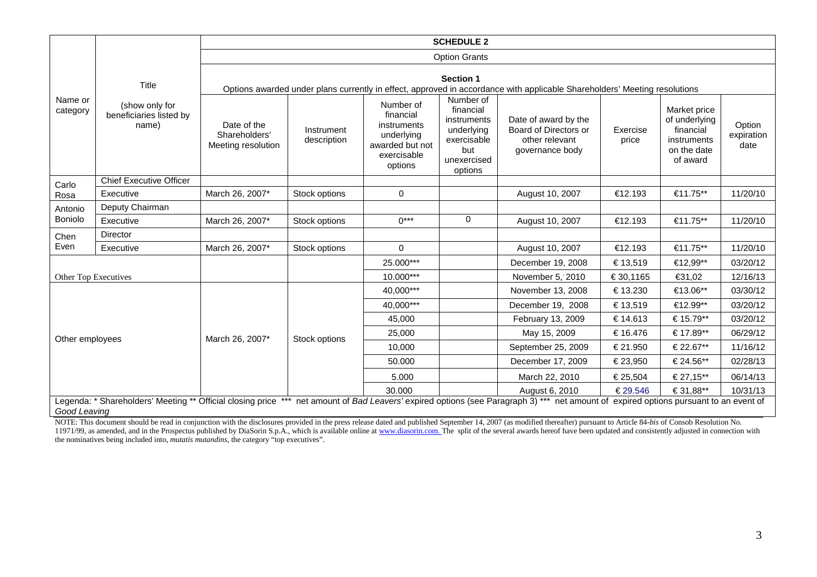| Name or<br>category                                                                                                                                                                                   | Title<br>(show only for<br>beneficiaries listed by<br>name) | <b>SCHEDULE 2</b>                                                                                                                      |                           |                                                                                                  |                                                                                                     |                                                                                    |                   |                                                                                      |                              |  |
|-------------------------------------------------------------------------------------------------------------------------------------------------------------------------------------------------------|-------------------------------------------------------------|----------------------------------------------------------------------------------------------------------------------------------------|---------------------------|--------------------------------------------------------------------------------------------------|-----------------------------------------------------------------------------------------------------|------------------------------------------------------------------------------------|-------------------|--------------------------------------------------------------------------------------|------------------------------|--|
|                                                                                                                                                                                                       |                                                             | <b>Option Grants</b>                                                                                                                   |                           |                                                                                                  |                                                                                                     |                                                                                    |                   |                                                                                      |                              |  |
|                                                                                                                                                                                                       |                                                             | Section 1<br>Options awarded under plans currently in effect, approved in accordance with applicable Shareholders' Meeting resolutions |                           |                                                                                                  |                                                                                                     |                                                                                    |                   |                                                                                      |                              |  |
|                                                                                                                                                                                                       |                                                             | Date of the<br>Shareholders'<br>Meeting resolution                                                                                     | Instrument<br>description | Number of<br>financial<br>instruments<br>underlying<br>awarded but not<br>exercisable<br>options | Number of<br>financial<br>instruments<br>underlying<br>exercisable<br>but<br>unexercised<br>options | Date of award by the<br>Board of Directors or<br>other relevant<br>governance body | Exercise<br>price | Market price<br>of underlying<br>financial<br>instruments<br>on the date<br>of award | Option<br>expiration<br>date |  |
| Carlo                                                                                                                                                                                                 | <b>Chief Executive Officer</b>                              |                                                                                                                                        |                           |                                                                                                  |                                                                                                     |                                                                                    |                   |                                                                                      |                              |  |
| Rosa                                                                                                                                                                                                  | Executive                                                   | March 26, 2007*                                                                                                                        | Stock options             | 0                                                                                                |                                                                                                     | August 10, 2007                                                                    | €12.193           | €11.75**                                                                             | 11/20/10                     |  |
| Antonio                                                                                                                                                                                               | Deputy Chairman                                             |                                                                                                                                        |                           |                                                                                                  |                                                                                                     |                                                                                    |                   |                                                                                      |                              |  |
| Boniolo                                                                                                                                                                                               | Executive                                                   | March 26, 2007*                                                                                                                        | Stock options             | $0***$                                                                                           | $\Omega$                                                                                            | August 10, 2007                                                                    | €12.193           | €11.75**                                                                             | 11/20/10                     |  |
| Chen                                                                                                                                                                                                  | Director                                                    |                                                                                                                                        |                           |                                                                                                  |                                                                                                     |                                                                                    |                   |                                                                                      |                              |  |
| Even                                                                                                                                                                                                  | Executive                                                   | March 26, 2007*                                                                                                                        | Stock options             | $\mathbf 0$                                                                                      |                                                                                                     | August 10, 2007                                                                    | €12.193           | €11.75**                                                                             | 11/20/10                     |  |
| Other Top Executives                                                                                                                                                                                  |                                                             |                                                                                                                                        |                           | 25.000***                                                                                        |                                                                                                     | December 19, 2008                                                                  | € 13,519          | €12,99**                                                                             | 03/20/12                     |  |
|                                                                                                                                                                                                       |                                                             |                                                                                                                                        |                           | 10.000***                                                                                        |                                                                                                     | November 5, 2010                                                                   | € 30,1165         | €31,02                                                                               | 12/16/13                     |  |
|                                                                                                                                                                                                       |                                                             |                                                                                                                                        |                           | 40.000***                                                                                        |                                                                                                     | November 13, 2008                                                                  | € 13.230          | €13.06**                                                                             | 03/30/12                     |  |
|                                                                                                                                                                                                       |                                                             |                                                                                                                                        |                           | 40,000***                                                                                        |                                                                                                     | December 19, 2008                                                                  | € 13,519          | €12.99**                                                                             | 03/20/12                     |  |
|                                                                                                                                                                                                       |                                                             |                                                                                                                                        |                           | 45,000                                                                                           |                                                                                                     | February 13, 2009                                                                  | € 14.613          | € 15.79**                                                                            | 03/20/12                     |  |
|                                                                                                                                                                                                       |                                                             |                                                                                                                                        |                           | 25,000                                                                                           |                                                                                                     | May 15, 2009                                                                       | € 16.476          | € 17.89**                                                                            | 06/29/12                     |  |
| Other employees                                                                                                                                                                                       |                                                             | March 26, 2007*                                                                                                                        | Stock options             | 10,000                                                                                           |                                                                                                     | September 25, 2009                                                                 | € 21.950          | € 22.67**                                                                            | 11/16/12                     |  |
|                                                                                                                                                                                                       |                                                             |                                                                                                                                        |                           | 50.000                                                                                           |                                                                                                     | December 17, 2009                                                                  | € 23,950          | € 24.56**                                                                            | 02/28/13                     |  |
|                                                                                                                                                                                                       |                                                             |                                                                                                                                        |                           | 5.000                                                                                            |                                                                                                     | March 22, 2010                                                                     | € 25,504          | € 27,15**                                                                            | 06/14/13                     |  |
|                                                                                                                                                                                                       |                                                             |                                                                                                                                        |                           | 30.000                                                                                           |                                                                                                     | August 6, 2010                                                                     | €29.546           | € 31,88**                                                                            | 10/31/13                     |  |
| Legenda: * Shareholders' Meeting ** Official closing price *** net amount of Bad Leavers' expired options (see Paragraph 3) *** net amount of expired options pursuant to an event of<br>Good Leaving |                                                             |                                                                                                                                        |                           |                                                                                                  |                                                                                                     |                                                                                    |                   |                                                                                      |                              |  |

NOTE: This document should be read in conjunction with the disclosures provided in the press release dated and published September 14, 2007 (as modified thereafter) pursuant to Article 84-bis of Consob Resolution No.<br>11971 the nominatives being included into, *mutatis mutandins*, the category "top executives".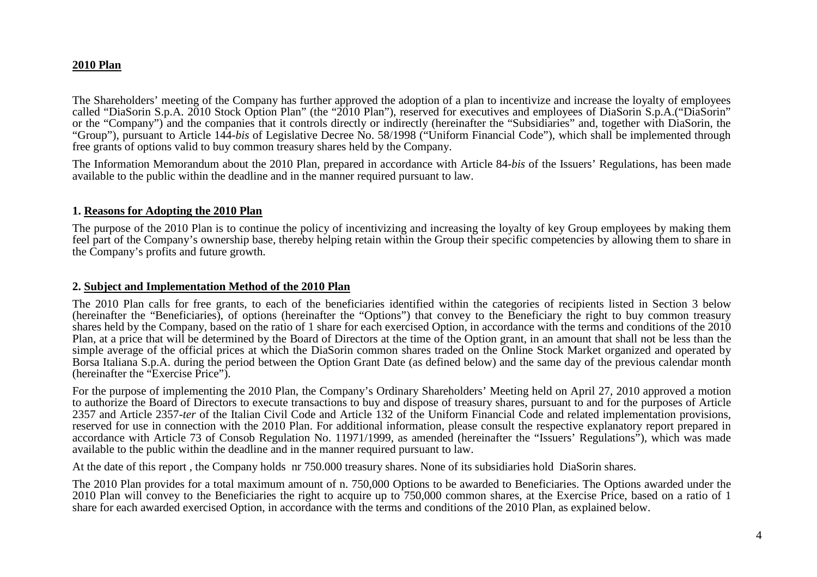### **2010 Plan**

The Shareholders' meeting of the Company has further approved the adoption of a plan to incentivize and increase the loyalty of employees called "DiaSorin S.p.A. 2010 Stock Option Plan" (the "2010 Plan"), reserved for executives and employees of DiaSorin S.p.A.("DiaSorin" or the "Company") and the companies that it controls directly or indirectly (hereinafter the "Subsidiaries" and, together with DiaSorin, the "Group"), pursuant to Article 144-*bis* of Legislative Decree No. 58/1998 ("Uniform Financial Code"), which shall be implemented through free grants of options valid to buy common treasury shares held by the Company.

The Information Memorandum about the 2010 Plan, prepared in accordance with Article 84-*bis* of the Issuers' Regulations, has been made available to the public within the deadline and in the manner required pursuant to law.

#### **1. Reasons for Adopting the 2010 Plan**

The purpose of the 2010 Plan is to continue the policy of incentivizing and increasing the loyalty of key Group employees by making them feel part of the Company's ownership base, thereby helping retain within the Group their specific competencies by allowing them to share in the Company's profits and future growth.

#### **2. Subject and Implementation Method of the 2010 Plan**

 The 2010 Plan calls for free grants, to each of the beneficiaries identified within the categories of recipients listed in Section 3 below (hereinafter the "Beneficiaries), of options (hereinafter the "Options") that convey to the Beneficiary the right to buy common treasury shares held by the Company, based on the ratio of 1 share for each exercised Option, in accordance with the terms and conditions of the 2010 Plan, at a price that will be determined by the Board of Directors at the time of the Option grant, in an amount that shall not be less than the simple average of the official prices at which the DiaSorin common shares traded on the Online Stock Market organized and operated by Borsa Italiana S.p.A. during the period between the Option Grant Date (as defined below) and the same day of the previous calendar month (hereinafter the "Exercise Price").

For the purpose of implementing the 2010 Plan, the Company's Ordinary Shareholders' Meeting held on April 27, 2010 approved a motion to authorize the Board of Directors to execute transactions to buy and dispose of treasury shares, pursuant to and for the purposes of Article 2357 and Article 2357-*ter* of the Italian Civil Code and Article 132 of the Uniform Financial Code and related implementation provisions, reserved for use in connection with the 2010 Plan. For additional information, please consult the respective explanatory report prepared in accordance with Article 73 of Consob Regulation No. 11971/1999, as amended (hereinafter the "Issuers' Regulations"), which was made available to the public within the deadline and in the manner required pursuant to law.

At the date of this report , the Company holds nr 750.000 treasury shares. None of its subsidiaries hold DiaSorin shares.

The 2010 Plan provides for a total maximum amount of n. 750,000 Options to be awarded to Beneficiaries. The Options awarded under the 2010 Plan will convey to the Beneficiaries the right to acquire up to 750,000 common shares, at the Exercise Price, based on a ratio of 1 share for each awarded exercised Option, in accordance with the terms and conditions of the 2010 Plan, as explained below.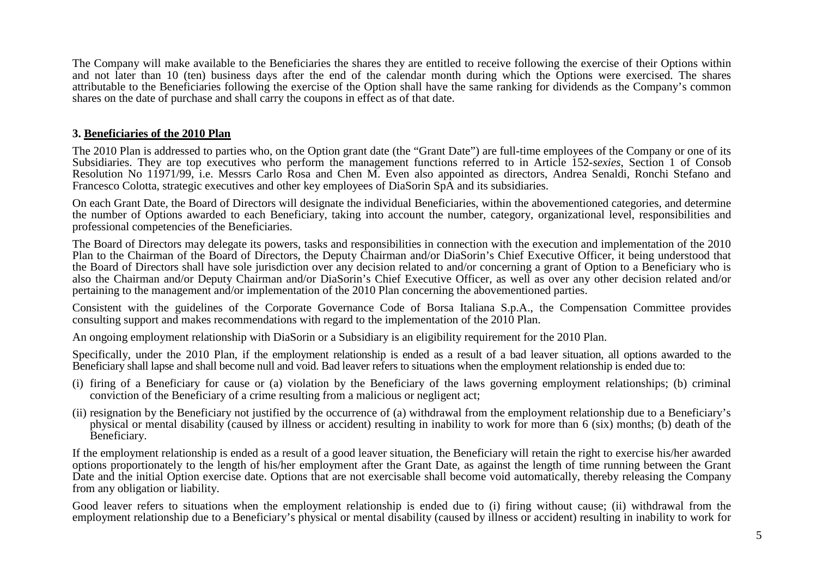The Company will make available to the Beneficiaries the shares they are entitled to receive following the exercise of their Options within and not later than 10 (ten) business days after the end of the calendar month during which the Options were exercised. The shares attributable to the Beneficiaries following the exercise of the Option shall have the same ranking for dividends as the Company's common shares on the date of purchase and shall carry the coupons in effect as of that date.

### **3. Beneficiaries of the 2010 Plan**

The 2010 Plan is addressed to parties who, on the Option grant date (the "Grant Date") are full-time employees of the Company or one of its Subsidiaries. They are top executives who perform the management functions referred to in Article 152-*sexies*, Section 1 of Consob Resolution No 11971/99, i.e. Messrs Carlo Rosa and Chen M. Even also appointed as directors, Andrea Senaldi, Ronchi Stefano and Francesco Colotta, strategic executives and other key employees of DiaSorin SpA and its subsidiaries.

On each Grant Date, the Board of Directors will designate the individual Beneficiaries, within the abovementioned categories, and determine the number of Options awarded to each Beneficiary, taking into account the number, category, organizational level, responsibilities and professional competencies of the Beneficiaries.

The Board of Directors may delegate its powers, tasks and responsibilities in connection with the execution and implementation of the 2010 Plan to the Chairman of the Board of Directors, the Deputy Chairman and/or DiaSorin's Chief Executive Officer, it being understood that the Board of Directors shall have sole jurisdiction over any decision related to and/or concerning a grant of Option to a Beneficiary who is also the Chairman and/or Deputy Chairman and/or DiaSorin's Chief Executive Officer, as well as over any other decision related and/or pertaining to the management and/or implementation of the 2010 Plan concerning the abovementioned parties.

Consistent with the guidelines of the Corporate Governance Code of Borsa Italiana S.p.A., the Compensation Committee provides consulting support and makes recommendations with regard to the implementation of the 2010 Plan.

An ongoing employment relationship with DiaSorin or a Subsidiary is an eligibility requirement for the 2010 Plan.

Specifically, under the 2010 Plan, if the employment relationship is ended as a result of a bad leaver situation, all options awarded to the Beneficiary shall lapse and shall become null and void. Bad leaver refers to situations when the employment relationship is ended due to:

- (i) firing of a Beneficiary for cause or (a) violation by the Beneficiary of the laws governing employment relationships; (b) criminal conviction of the Beneficiary of a crime resulting from a malicious or negligent act;
- (ii) resignation by the Beneficiary not justified by the occurrence of (a) withdrawal from the employment relationship due to a Beneficiary's physical or mental disability (caused by illness or accident) resulting in inability to work for more than 6 (six) months; (b) death of the Beneficiary.

If the employment relationship is ended as a result of a good leaver situation, the Beneficiary will retain the right to exercise his/her awarded options proportionately to the length of his/her employment after the Grant Date, as against the length of time running between the Grant Date and the initial Option exercise date. Options that are not exercisable shall become void automatically, thereby releasing the Company from any obligation or liability.

Good leaver refers to situations when the employment relationship is ended due to (i) firing without cause; (ii) withdrawal from the employment relationship due to a Beneficiary's physical or mental disability (caused by illness or accident) resulting in inability to work for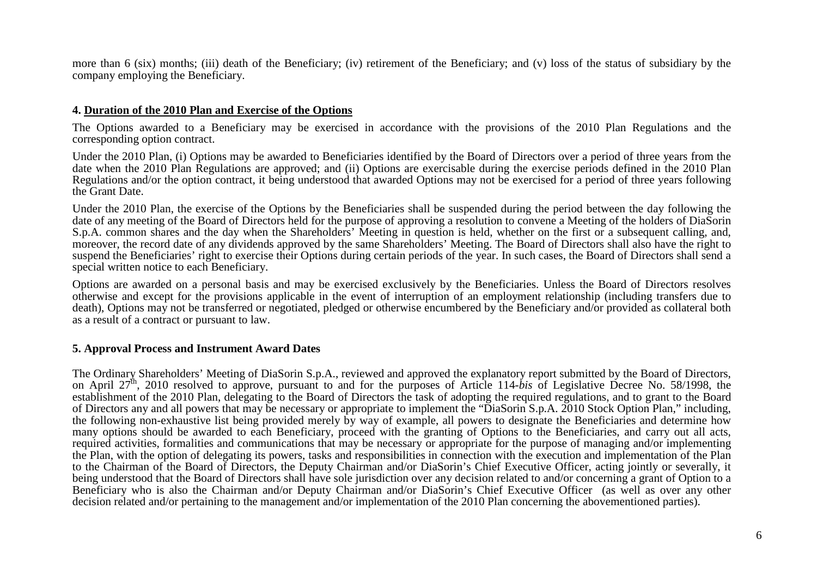more than 6 (six) months; (iii) death of the Beneficiary; (iv) retirement of the Beneficiary; and (v) loss of the status of subsidiary by the company employing the Beneficiary.

### **4. Duration of the 2010 Plan and Exercise of the Options**

The Options awarded to a Beneficiary may be exercised in accordance with the provisions of the 2010 Plan Regulations and the corresponding option contract.

Under the 2010 Plan, (i) Options may be awarded to Beneficiaries identified by the Board of Directors over a period of three years from the date when the 2010 Plan Regulations are approved; and (ii) Options are exercisable during the exercise periods defined in the 2010 Plan Regulations and/or the option contract, it being understood that awarded Options may not be exercised for a period of three years following the Grant Date.

Under the 2010 Plan, the exercise of the Options by the Beneficiaries shall be suspended during the period between the day following the date of any meeting of the Board of Directors held for the purpose of approving a resolution to convene a Meeting of the holders of DiaSorin S.p.A. common shares and the day when the Shareholders' Meeting in question is held, whether on the first or a subsequent calling, and, moreover, the record date of any dividends approved by the same Shareholders' Meeting. The Board of Directors shall also have the right to suspend the Beneficiaries' right to exercise their Options during certain periods of the year. In such cases, the Board of Directors shall send a special written notice to each Beneficiary.

Options are awarded on a personal basis and may be exercised exclusively by the Beneficiaries. Unless the Board of Directors resolves otherwise and except for the provisions applicable in the event of interruption of an employment relationship (including transfers due to death), Options may not be transferred or negotiated, pledged or otherwise encumbered by the Beneficiary and/or provided as collateral both as a result of a contract or pursuant to law.

#### **5. Approval Process and Instrument Award Dates**

The Ordinary Shareholders' Meeting of DiaSorin S.p.A., reviewed and approved the explanatory report submitted by the Board of Directors, on April 27th, 2010 resolved to approve, pursuant to and for the purposes of Article 114-*bis* of Legislative Decree No. 58/1998, the establishment of the 2010 Plan, delegating to the Board of Directors the task of adopting the required regulations, and to grant to the Board of Directors any and all powers that may be necessary or appropriate to implement the "DiaSorin S.p.A. 2010 Stock Option Plan," including, the following non-exhaustive list being provided merely by way of example, all powers to designate the Beneficiaries and determine how many options should be awarded to each Beneficiary, proceed with the granting of Options to the Beneficiaries, and carry out all acts, required activities, formalities and communications that may be necessary or appropriate for the purpose of managing and/or implementing the Plan, with the option of delegating its powers, tasks and responsibilities in connection with the execution and implementation of the Plan to the Chairman of the Board of Directors, the Deputy Chairman and/or DiaSorin's Chief Executive Officer, acting jointly or severally, it being understood that the Board of Directors shall have sole jurisdiction over any decision related to and/or concerning a grant of Option to a Beneficiary who is also the Chairman and/or Deputy Chairman and/or DiaSorin's Chief Executive Officer (as well as over any other decision related and/or pertaining to the management and/or implementation of the 2010 Plan concerning the abovementioned parties).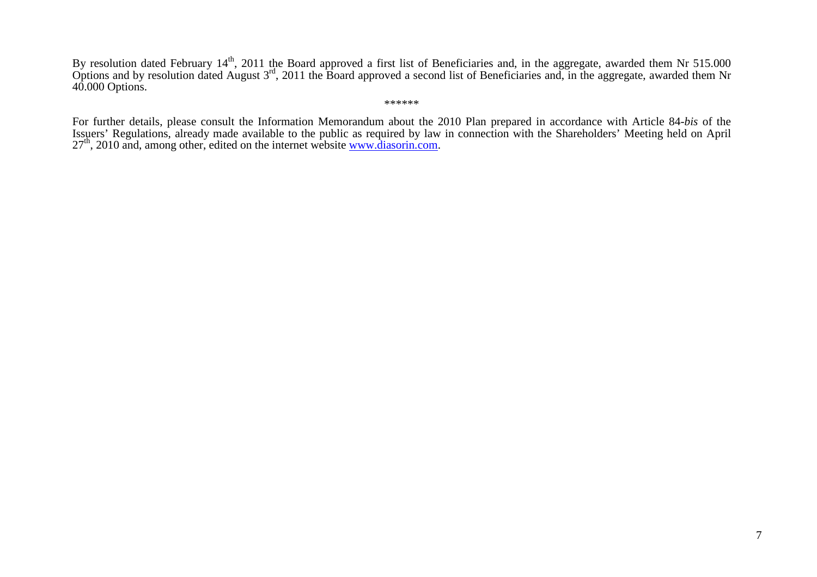By resolution dated February 14<sup>th</sup>, 2011 the Board approved a first list of Beneficiaries and, in the aggregate, awarded them Nr 515.000<br>Options and by resolution dated August 3<sup>rd</sup>, 2011 the Board approved a second list 40.000 Options.

\*\*\*\*\*\*

For further details, please consult the Information Memorandum about the 2010 Plan prepared in accordance with Article 84-*bis* of the Issuers' Regulations, already made available to the public as required by law in connection with the Shareholders' Meeting held on April 27<sup>th</sup>, 2010 and, among other, edited on the internet website www.diasorin.com.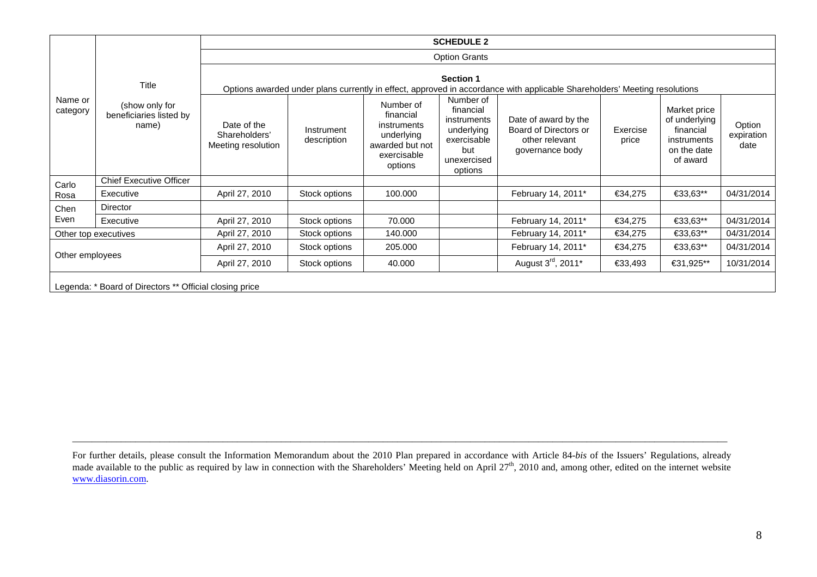| Name or<br>category                                     | Title<br>(show only for<br>beneficiaries listed by<br>name) | <b>SCHEDULE 2</b>                                                                                                                             |                           |                                                                                                  |                                                                                                     |                                                                                    |                   |                                                                                      |                              |  |
|---------------------------------------------------------|-------------------------------------------------------------|-----------------------------------------------------------------------------------------------------------------------------------------------|---------------------------|--------------------------------------------------------------------------------------------------|-----------------------------------------------------------------------------------------------------|------------------------------------------------------------------------------------|-------------------|--------------------------------------------------------------------------------------|------------------------------|--|
|                                                         |                                                             | <b>Option Grants</b>                                                                                                                          |                           |                                                                                                  |                                                                                                     |                                                                                    |                   |                                                                                      |                              |  |
|                                                         |                                                             | <b>Section 1</b><br>Options awarded under plans currently in effect, approved in accordance with applicable Shareholders' Meeting resolutions |                           |                                                                                                  |                                                                                                     |                                                                                    |                   |                                                                                      |                              |  |
|                                                         |                                                             | Date of the<br>Shareholders'<br>Meeting resolution                                                                                            | Instrument<br>description | Number of<br>financial<br>instruments<br>underlying<br>awarded but not<br>exercisable<br>options | Number of<br>financial<br>instruments<br>underlying<br>exercisable<br>but<br>unexercised<br>options | Date of award by the<br>Board of Directors or<br>other relevant<br>governance body | Exercise<br>price | Market price<br>of underlying<br>financial<br>instruments<br>on the date<br>of award | Option<br>expiration<br>date |  |
| Carlo                                                   | <b>Chief Executive Officer</b>                              |                                                                                                                                               |                           |                                                                                                  |                                                                                                     |                                                                                    |                   |                                                                                      |                              |  |
| Rosa                                                    | Executive                                                   | April 27, 2010                                                                                                                                | Stock options             | 100.000                                                                                          |                                                                                                     | February 14, 2011*                                                                 | €34,275           | €33,63**                                                                             | 04/31/2014                   |  |
| Chen                                                    | Director                                                    |                                                                                                                                               |                           |                                                                                                  |                                                                                                     |                                                                                    |                   |                                                                                      |                              |  |
| Even                                                    | Executive                                                   | April 27, 2010                                                                                                                                | Stock options             | 70.000                                                                                           |                                                                                                     | February 14, 2011*                                                                 | €34,275           | €33,63**                                                                             | 04/31/2014                   |  |
| Other top executives                                    |                                                             | April 27, 2010                                                                                                                                | Stock options             | 140.000                                                                                          |                                                                                                     | February 14, 2011*                                                                 | €34,275           | €33,63**                                                                             | 04/31/2014                   |  |
| Other employees                                         |                                                             | April 27, 2010                                                                                                                                | Stock options             | 205.000                                                                                          |                                                                                                     | February 14, 2011*                                                                 | €34,275           | €33,63**                                                                             | 04/31/2014                   |  |
|                                                         |                                                             | April 27, 2010                                                                                                                                | Stock options             | 40.000                                                                                           |                                                                                                     | August 3 <sup>rd</sup> , 2011 <sup>*</sup>                                         | €33,493           | €31,925**                                                                            | 10/31/2014                   |  |
| Legenda: * Board of Directors ** Official closing price |                                                             |                                                                                                                                               |                           |                                                                                                  |                                                                                                     |                                                                                    |                   |                                                                                      |                              |  |

For further details, please consult the Information Memorandum about the 2010 Plan prepared in accordance with Article 84-bis of the Issuers' Regulations, already made available to the public as required by law in connect